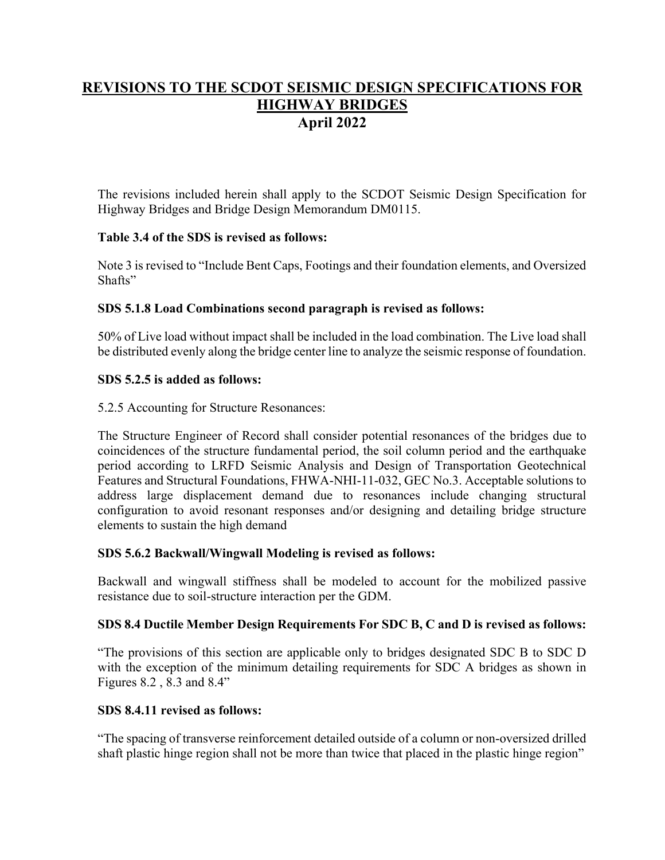# **REVISIONS TO THE SCDOT SEISMIC DESIGN SPECIFICATIONS FOR HIGHWAY BRIDGES April 2022**

The revisions included herein shall apply to the SCDOT Seismic Design Specification for Highway Bridges and Bridge Design Memorandum DM0115.

# **Table 3.4 of the SDS is revised as follows:**

Note 3 is revised to "Include Bent Caps, Footings and their foundation elements, and Oversized Shafts"

# **SDS 5.1.8 Load Combinations second paragraph is revised as follows:**

50% of Live load without impact shall be included in the load combination. The Live load shall be distributed evenly along the bridge center line to analyze the seismic response of foundation.

#### **SDS 5.2.5 is added as follows:**

5.2.5 Accounting for Structure Resonances:

The Structure Engineer of Record shall consider potential resonances of the bridges due to coincidences of the structure fundamental period, the soil column period and the earthquake period according to LRFD Seismic Analysis and Design of Transportation Geotechnical Features and Structural Foundations, FHWA-NHI-11-032, GEC No.3. Acceptable solutions to address large displacement demand due to resonances include changing structural configuration to avoid resonant responses and/or designing and detailing bridge structure elements to sustain the high demand

# **SDS 5.6.2 Backwall/Wingwall Modeling is revised as follows:**

Backwall and wingwall stiffness shall be modeled to account for the mobilized passive resistance due to soil-structure interaction per the GDM.

# **SDS 8.4 Ductile Member Design Requirements For SDC B, C and D is revised as follows:**

"The provisions of this section are applicable only to bridges designated SDC B to SDC D with the exception of the minimum detailing requirements for SDC A bridges as shown in Figures 8.2 , 8.3 and 8.4"

# **SDS 8.4.11 revised as follows:**

"The spacing of transverse reinforcement detailed outside of a column or non-oversized drilled shaft plastic hinge region shall not be more than twice that placed in the plastic hinge region"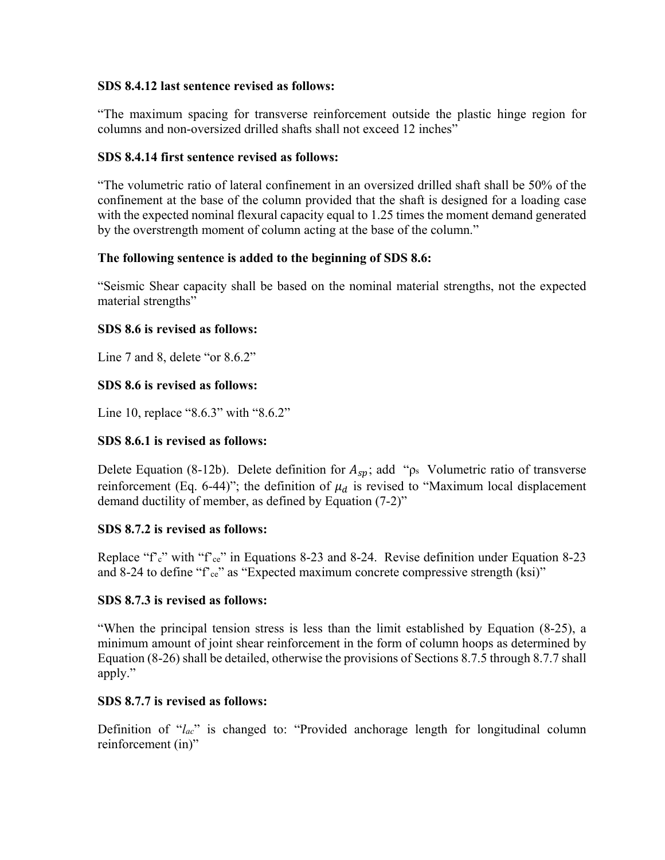#### **SDS 8.4.12 last sentence revised as follows:**

"The maximum spacing for transverse reinforcement outside the plastic hinge region for columns and non-oversized drilled shafts shall not exceed 12 inches"

#### **SDS 8.4.14 first sentence revised as follows:**

"The volumetric ratio of lateral confinement in an oversized drilled shaft shall be 50% of the confinement at the base of the column provided that the shaft is designed for a loading case with the expected nominal flexural capacity equal to 1.25 times the moment demand generated by the overstrength moment of column acting at the base of the column."

#### **The following sentence is added to the beginning of SDS 8.6:**

"Seismic Shear capacity shall be based on the nominal material strengths, not the expected material strengths"

#### **SDS 8.6 is revised as follows:**

Line 7 and 8, delete "or 8.6.2"

# **SDS 8.6 is revised as follows:**

Line 10, replace "8.6.3" with "8.6.2"

# **SDS 8.6.1 is revised as follows:**

Delete Equation (8-12b). Delete definition for  $A_{sp}$ ; add " $\rho_s$  Volumetric ratio of transverse reinforcement (Eq. 6-44)"; the definition of  $\mu_d$  is revised to "Maximum local displacement demand ductility of member, as defined by Equation (7-2)"

# **SDS 8.7.2 is revised as follows:**

Replace "f'c" with "f'ce" in Equations 8-23 and 8-24. Revise definition under Equation 8-23 and 8-24 to define "f'ce" as "Expected maximum concrete compressive strength (ksi)"

#### **SDS 8.7.3 is revised as follows:**

"When the principal tension stress is less than the limit established by Equation (8-25), a minimum amount of joint shear reinforcement in the form of column hoops as determined by Equation (8-26) shall be detailed, otherwise the provisions of Sections 8.7.5 through 8.7.7 shall apply."

#### **SDS 8.7.7 is revised as follows:**

Definition of "*lac*" is changed to: "Provided anchorage length for longitudinal column reinforcement (in)"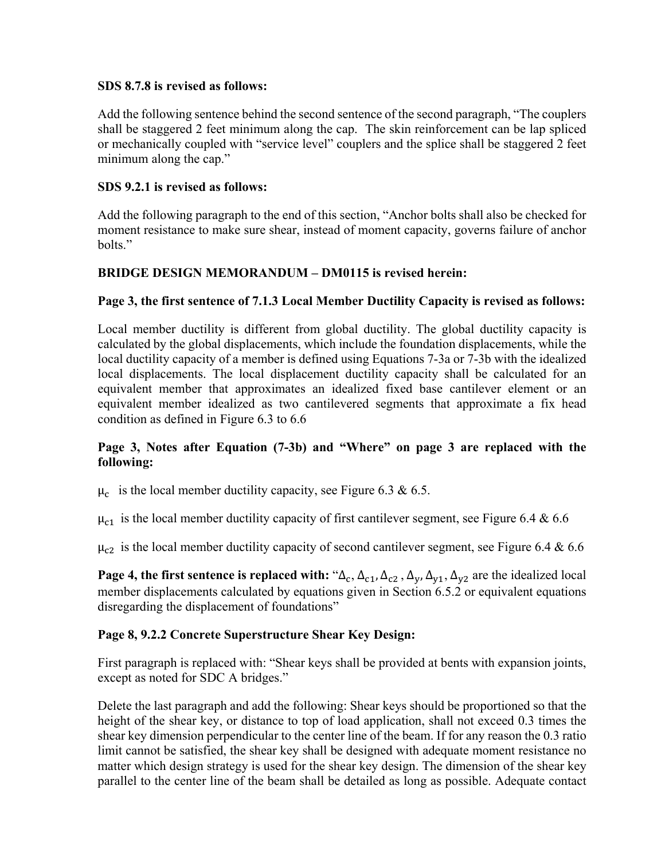#### **SDS 8.7.8 is revised as follows:**

Add the following sentence behind the second sentence of the second paragraph, "The couplers shall be staggered 2 feet minimum along the cap. The skin reinforcement can be lap spliced or mechanically coupled with "service level" couplers and the splice shall be staggered 2 feet minimum along the cap."

# **SDS 9.2.1 is revised as follows:**

Add the following paragraph to the end of this section, "Anchor bolts shall also be checked for moment resistance to make sure shear, instead of moment capacity, governs failure of anchor bolts."

# **BRIDGE DESIGN MEMORANDUM – DM0115 is revised herein:**

# **Page 3, the first sentence of 7.1.3 Local Member Ductility Capacity is revised as follows:**

Local member ductility is different from global ductility. The global ductility capacity is calculated by the global displacements, which include the foundation displacements, while the local ductility capacity of a member is defined using Equations 7-3a or 7-3b with the idealized local displacements. The local displacement ductility capacity shall be calculated for an equivalent member that approximates an idealized fixed base cantilever element or an equivalent member idealized as two cantilevered segments that approximate a fix head condition as defined in Figure 6.3 to 6.6

# **Page 3, Notes after Equation (7-3b) and "Where" on page 3 are replaced with the following:**

 $\mu_c$  is the local member ductility capacity, see Figure 6.3 & 6.5.

 $\mu_{c1}$  is the local member ductility capacity of first cantilever segment, see Figure 6.4 & 6.6

 $\mu_{c2}$  is the local member ductility capacity of second cantilever segment, see Figure 6.4 & 6.6

**Page 4, the first sentence is replaced with:** " $\Delta_c$ ,  $\Delta_{c1}$ ,  $\Delta_{c2}$ ,  $\Delta_v$ ,  $\Delta_{v1}$ ,  $\Delta_{v2}$  are the idealized local member displacements calculated by equations given in Section 6.5.2 or equivalent equations disregarding the displacement of foundations"

# **Page 8, 9.2.2 Concrete Superstructure Shear Key Design:**

First paragraph is replaced with: "Shear keys shall be provided at bents with expansion joints, except as noted for SDC A bridges."

Delete the last paragraph and add the following: Shear keys should be proportioned so that the height of the shear key, or distance to top of load application, shall not exceed 0.3 times the shear key dimension perpendicular to the center line of the beam. If for any reason the 0.3 ratio limit cannot be satisfied, the shear key shall be designed with adequate moment resistance no matter which design strategy is used for the shear key design. The dimension of the shear key parallel to the center line of the beam shall be detailed as long as possible. Adequate contact